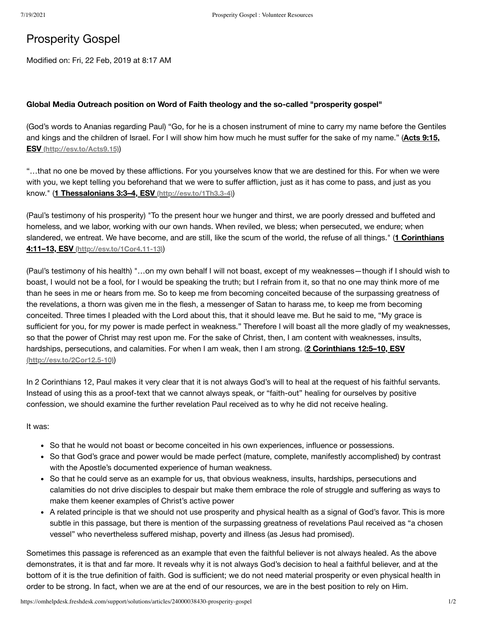## Prosperity Gospel

Modified on: Fri, 22 Feb, 2019 at 8:17 AM

## **Global Media Outreach position on Word of Faith theology and the so-called "prosperity gospel"**

(God's words to Ananias regarding Paul) "Go, for he is a chosen instrument of mine to carry my name before the Gentiles and kings and the children of Israel. For I will show him how much he must suffer for the sake of my name." (**Acts 9:15, ESV [\(http://esv.to/Acts9.15\)](http://esv.to/Acts9.15)**)

"…that no one be moved by these afflictions. For you yourselves know that we are destined for this. For when we were with you, we kept telling you beforehand that we were to suffer affliction, just as it has come to pass, and just as you know." (**1 Thessalonians 3:3–4, ESV [\(http://esv.to/1Th3.3-4\)](http://esv.to/1Th3.3-4)**)

(Paul's testimony of his prosperity) "To the present hour we hunger and thirst, we are poorly dressed and buffeted and homeless, and we labor, working with our own hands. When reviled, we bless; when persecuted, we endure; when slandered, we entreat. We have become, and are still, like the scum of the world, the refuse of all things." (**1 Corinthians 4:11–13, ESV [\(http://esv.to/1Cor4.11-13\)](http://esv.to/1Cor4.11-13)**)

(Paul's testimony of his health) "…on my own behalf I will not boast, except of my weaknesses—though if I should wish to boast, I would not be a fool, for I would be speaking the truth; but I refrain from it, so that no one may think more of me than he sees in me or hears from me. So to keep me from becoming conceited because of the surpassing greatness of the revelations, a thorn was given me in the flesh, a messenger of Satan to harass me, to keep me from becoming conceited. Three times I pleaded with the Lord about this, that it should leave me. But he said to me, "My grace is sufficient for you, for my power is made perfect in weakness." Therefore I will boast all the more gladly of my weaknesses, so that the power of Christ may rest upon me. For the sake of Christ, then, I am content with weaknesses, insults, hardships, persecutions, and calamities. For when I am weak, then I am strong. (**2 Corinthians 12:5–10, ESV [\(http://esv.to/2Cor12.5-10\)](http://esv.to/2Cor12.5-10)**)

In 2 Corinthians 12, Paul makes it very clear that it is not always God's will to heal at the request of his faithful servants. Instead of using this as a proof-text that we cannot always speak, or "faith-out" healing for ourselves by positive confession, we should examine the further revelation Paul received as to why he did not receive healing.

It was:

- So that he would not boast or become conceited in his own experiences, influence or possessions.
- So that God's grace and power would be made perfect (mature, complete, manifestly accomplished) by contrast with the Apostle's documented experience of human weakness.
- So that he could serve as an example for us, that obvious weakness, insults, hardships, persecutions and calamities do not drive disciples to despair but make them embrace the role of struggle and suffering as ways to make them keener examples of Christ's active power
- A related principle is that we should not use prosperity and physical health as a signal of God's favor. This is more subtle in this passage, but there is mention of the surpassing greatness of revelations Paul received as "a chosen vessel" who nevertheless suffered mishap, poverty and illness (as Jesus had promised).

Sometimes this passage is referenced as an example that even the faithful believer is not always healed. As the above demonstrates, it is that and far more. It reveals why it is not always God's decision to heal a faithful believer, and at the bottom of it is the true definition of faith. God is sufficient; we do not need material prosperity or even physical health in order to be strong. In fact, when we are at the end of our resources, we are in the best position to rely on Him.